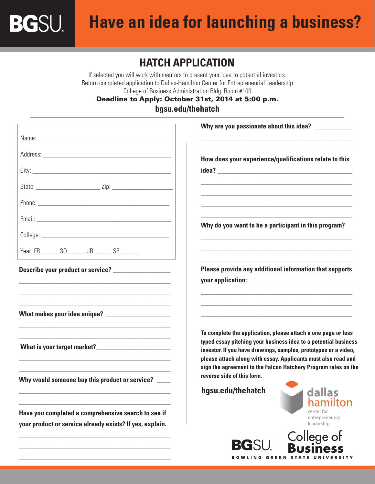**BGSU** 

## **HATCH APPLICATION**

If selected you will work with mentors to present your idea to potential investors. Return completed application to Dallas-Hamilton Center for Entrepreneurial Leadership College of Business Administration Bldg. Room #109

Deadline to Apply: October 31st, 2014 at 5:00 p.m. **bgsu.edu/thehatch**

|                                                          | Why are you passionate about this idea? ___________                                                                                                                                                                                  |
|----------------------------------------------------------|--------------------------------------------------------------------------------------------------------------------------------------------------------------------------------------------------------------------------------------|
|                                                          |                                                                                                                                                                                                                                      |
|                                                          | How does your experience/qualifications relate to this                                                                                                                                                                               |
|                                                          |                                                                                                                                                                                                                                      |
|                                                          |                                                                                                                                                                                                                                      |
|                                                          |                                                                                                                                                                                                                                      |
|                                                          |                                                                                                                                                                                                                                      |
|                                                          | Why do you want to be a participant in this program?                                                                                                                                                                                 |
| Year: FR _______ SO _______ JR ______ SR ______          | <u> 1989 - Johann Barbara, margaret eta idazlearia (h. 1989).</u>                                                                                                                                                                    |
| Describe your product or service? ___________________    | Please provide any additional information that supports                                                                                                                                                                              |
|                                                          | your application: <u>with a series of the series of the series of the series of the series of the series of the series of the series of the series of the series of the series of the series of the series of the series of the </u> |
|                                                          |                                                                                                                                                                                                                                      |
| What makes your idea unique? _____________________       |                                                                                                                                                                                                                                      |
|                                                          | To complete the application, please attach a one page or less                                                                                                                                                                        |
|                                                          | typed essay pitching your business idea to a potential business<br>investor. If you have drawings, samples, prototypes or a video,                                                                                                   |
|                                                          | please attach along with essay. Applicants must also read and<br>sign the agreement to the Falcon Hatchery Program rules on the                                                                                                      |
| Why would someone buy this product or service? ___       | reverse side of this form.                                                                                                                                                                                                           |
|                                                          | bgsu.edu/thehatch dallas<br>hamilton                                                                                                                                                                                                 |
| Have you completed a comprehensive search to see if      | center for<br>entrepreneurial                                                                                                                                                                                                        |
| your product or service already exists? If yes, explain. | leadership                                                                                                                                                                                                                           |
|                                                          | College of<br><b>BGSL</b><br>usiness                                                                                                                                                                                                 |

**BOWLING GREEN STATE UNIVERSITY** 

\_\_\_\_\_\_\_\_\_\_\_\_\_\_\_\_\_\_\_\_\_\_\_\_\_\_\_\_\_\_\_\_\_\_\_\_\_\_\_\_\_\_\_\_\_